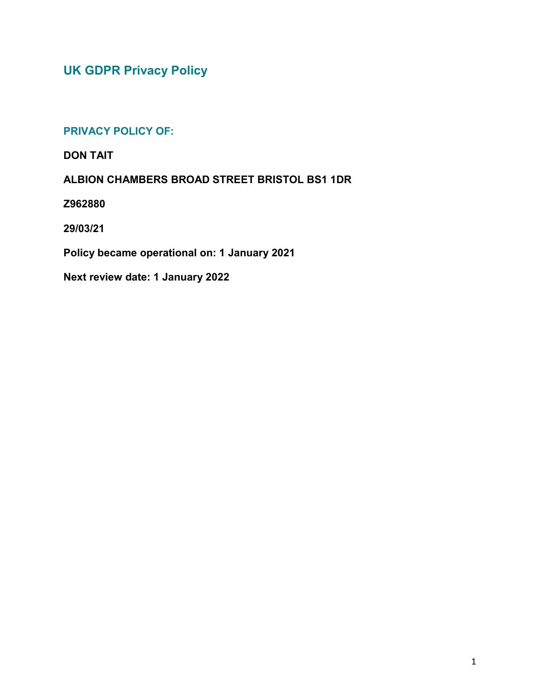**UK GDPR Privacy Policy**

# **PRIVACY POLICY OF:**

**DON TAIT**

**ALBION CHAMBERS BROAD STREET BRISTOL BS1 1DR**

**Z962880**

**29/03/21**

**Policy became operational on: 1 January 2021**

**Next review date: 1 January 2022**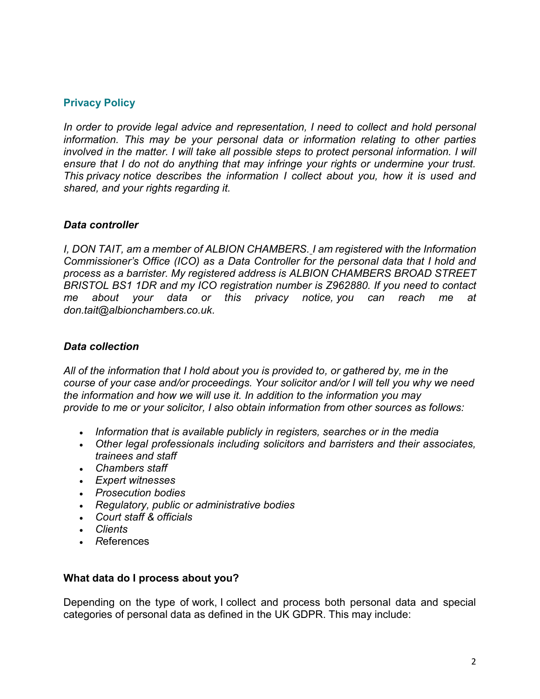### **Privacy Policy**

*In order to provide legal advice and representation, I need to collect and hold personal information. This may be your personal data or information relating to other parties involved in the matter. I will take all possible steps to protect personal information. I will ensure that I do not do anything that may infringe your rights or undermine your trust. This privacy notice describes the information I collect about you, how it is used and shared, and your rights regarding it.*

#### *Data controller*

*I, DON TAIT, am a member of ALBION CHAMBERS. I am registered with the Information Commissioner's Office (ICO) as a Data Controller for the personal data that I hold and process as a barrister. My registered address is ALBION CHAMBERS BROAD STREET BRISTOL BS1 1DR and my ICO registration number is Z962880. If you need to contact me about your data or this privacy notice, you can reach me at don.tait@albionchambers.co.uk.*

#### *Data collection*

*All of the information that I hold about you is provided to, or gathered by, me in the course of your case and/or proceedings. Your solicitor and/or I will tell you why we need the information and how we will use it. In addition to the information you may provide to me or your solicitor, I also obtain information from other sources as follows:*

- *Information that is available publicly in registers, searches or in the media*
- *Other legal professionals including solicitors and barristers and their associates, trainees and staff*
- *Chambers staff*
- *Expert witnesses*
- *Prosecution bodies*
- *Regulatory, public or administrative bodies*
- *Court staff & officials*
- *Clients*
- *R*eferences

#### **What data do I process about you?**

Depending on the type of work, I collect and process both personal data and special categories of personal data as defined in the UK GDPR. This may include: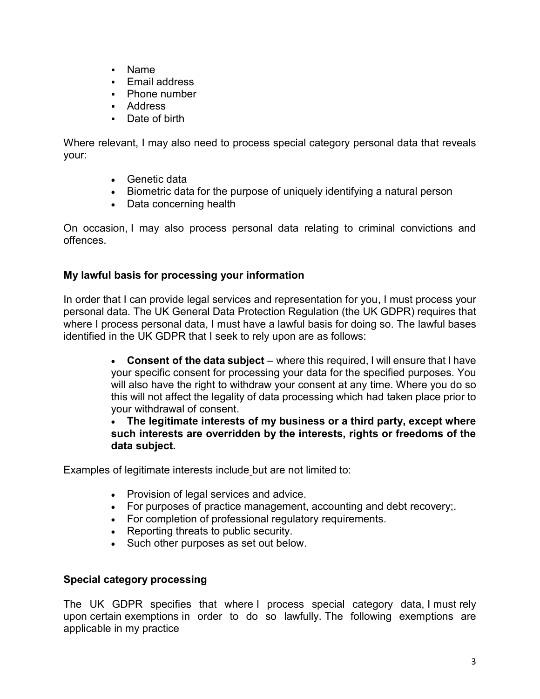- Name
- **F** Fmail address
- Phone number
- Address
- Date of birth

Where relevant, I may also need to process special category personal data that reveals your:

- Genetic data
- Biometric data for the purpose of uniquely identifying a natural person
- Data concerning health

On occasion, I may also process personal data relating to criminal convictions and offences.

# **My lawful basis for processing your information**

In order that I can provide legal services and representation for you, I must process your personal data. The UK General Data Protection Regulation (the UK GDPR) requires that where I process personal data, I must have a lawful basis for doing so. The lawful bases identified in the UK GDPR that I seek to rely upon are as follows:

> **Consent of the data subject** – where this required, I will ensure that I have your specific consent for processing your data for the specified purposes. You will also have the right to withdraw your consent at any time. Where you do so this will not affect the legality of data processing which had taken place prior to your withdrawal of consent.

> **The legitimate interests of my business or a third party, except where such interests are overridden by the interests, rights or freedoms of the data subject.**

Examples of legitimate interests include but are not limited to:

- Provision of legal services and advice.
- For purposes of practice management, accounting and debt recovery;
- For completion of professional regulatory requirements.
- Reporting threats to public security.
- Such other purposes as set out below.

# **Special category processing**

The UK GDPR specifies that where I process special category data, I must rely upon certain exemptions in order to do so lawfully. The following exemptions are applicable in my practice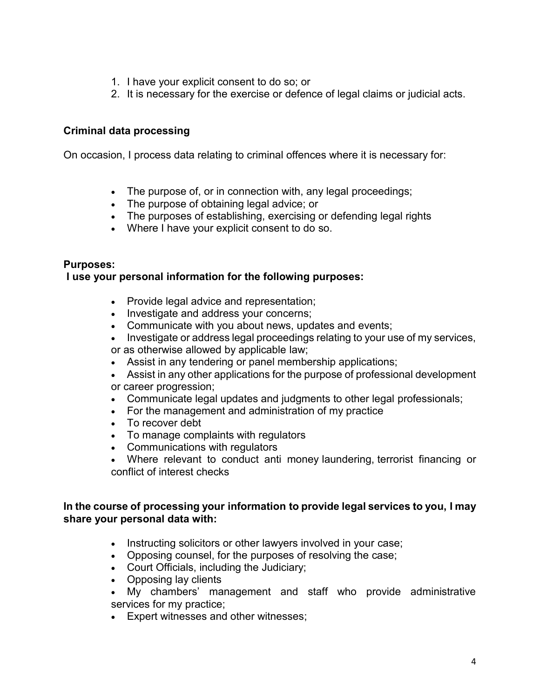- 1. I have your explicit consent to do so; or
- 2. It is necessary for the exercise or defence of legal claims or judicial acts.

### **Criminal data processing**

On occasion, I process data relating to criminal offences where it is necessary for:

- The purpose of, or in connection with, any legal proceedings;
- The purpose of obtaining legal advice; or
- The purposes of establishing, exercising or defending legal rights
- Where I have your explicit consent to do so.

#### **Purposes:**

#### **I use your personal information for the following purposes:**

- Provide legal advice and representation;
- Investigate and address your concerns;
- Communicate with you about news, updates and events;
- Investigate or address legal proceedings relating to your use of my services, or as otherwise allowed by applicable law;
- Assist in any tendering or panel membership applications;
- Assist in any other applications for the purpose of professional development or career progression;
- Communicate legal updates and judgments to other legal professionals;
- For the management and administration of my practice
- To recover debt
- To manage complaints with regulators
- Communications with regulators
- Where relevant to conduct anti money laundering, terrorist financing or conflict of interest checks

#### **In the course of processing your information to provide legal services to you, I may share your personal data with:**

- Instructing solicitors or other lawyers involved in your case;
- Opposing counsel, for the purposes of resolving the case;
- Court Officials, including the Judiciary;
- Opposing lay clients
- My chambers' management and staff who provide administrative services for my practice;
- Expert witnesses and other witnesses;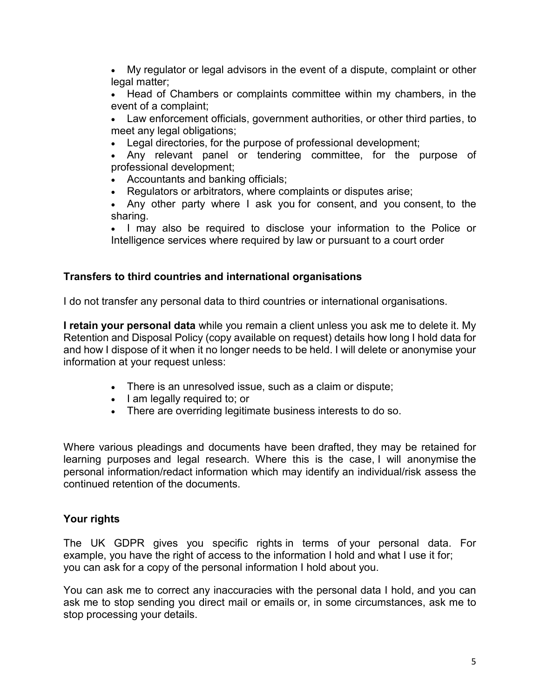My regulator or legal advisors in the event of a dispute, complaint or other legal matter;

 Head of Chambers or complaints committee within my chambers, in the event of a complaint;

 Law enforcement officials, government authorities, or other third parties, to meet any legal obligations;

Legal directories, for the purpose of professional development;

 Any relevant panel or tendering committee, for the purpose of professional development;

- Accountants and banking officials;
- Regulators or arbitrators, where complaints or disputes arise;

 Any other party where I ask you for consent, and you consent, to the sharing.

 I may also be required to disclose your information to the Police or Intelligence services where required by law or pursuant to a court order

### **Transfers to third countries and international organisations**

I do not transfer any personal data to third countries or international organisations.

**I retain your personal data** while you remain a client unless you ask me to delete it. My Retention and Disposal Policy (copy available on request) details how long I hold data for and how I dispose of it when it no longer needs to be held. I will delete or anonymise your information at your request unless:

- There is an unresolved issue, such as a claim or dispute;
- I am legally required to; or
- There are overriding legitimate business interests to do so.

Where various pleadings and documents have been drafted, they may be retained for learning purposes and legal research. Where this is the case, I will anonymise the personal information/redact information which may identify an individual/risk assess the continued retention of the documents.

# **Your rights**

The UK GDPR gives you specific rights in terms of your personal data. For example, you have the right of access to the information I hold and what I use it for; you can ask for a copy of the personal information I hold about you.

You can ask me to correct any inaccuracies with the personal data I hold, and you can ask me to stop sending you direct mail or emails or, in some circumstances, ask me to stop processing your details.